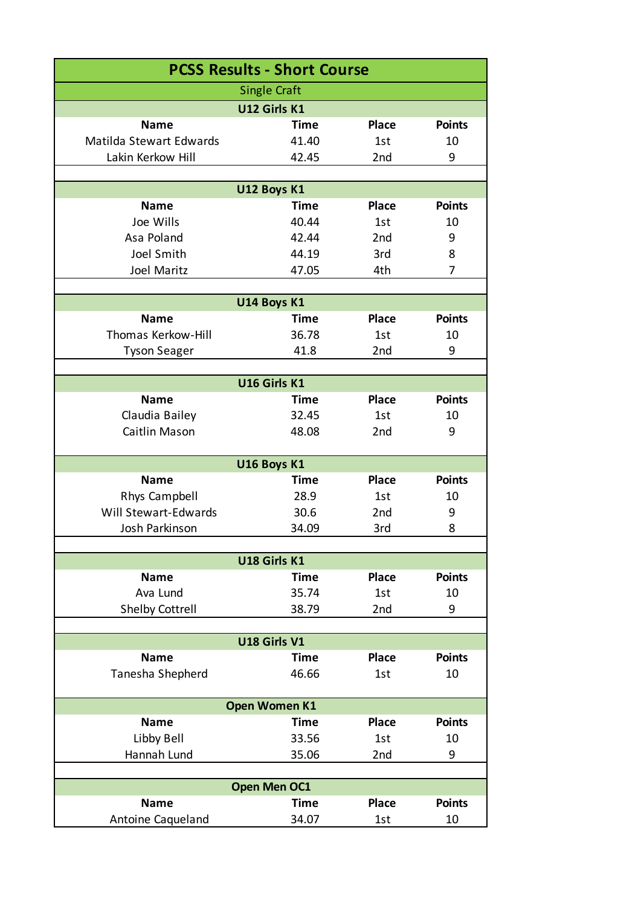| <b>PCSS Results - Short Course</b> |              |                 |               |  |  |
|------------------------------------|--------------|-----------------|---------------|--|--|
| <b>Single Craft</b>                |              |                 |               |  |  |
| U12 Girls K1                       |              |                 |               |  |  |
| <b>Name</b>                        | Time         | <b>Place</b>    | <b>Points</b> |  |  |
| Matilda Stewart Edwards            | 41.40        | 1st             | 10            |  |  |
| Lakin Kerkow Hill                  | 42.45        | 2nd             | 9             |  |  |
|                                    |              |                 |               |  |  |
|                                    | U12 Boys K1  |                 |               |  |  |
| <b>Name</b>                        | Time         | <b>Place</b>    | <b>Points</b> |  |  |
| Joe Wills                          | 40.44        | 1st             | 10            |  |  |
| Asa Poland                         | 42.44        | 2 <sub>nd</sub> | 9             |  |  |
| Joel Smith                         | 44.19        | 3rd             | 8             |  |  |
| <b>Joel Maritz</b>                 | 47.05        | 4th             | 7             |  |  |
|                                    | U14 Boys K1  |                 |               |  |  |
| <b>Name</b>                        | <b>Time</b>  | <b>Place</b>    | <b>Points</b> |  |  |
| Thomas Kerkow-Hill                 | 36.78        | 1st             | 10            |  |  |
| <b>Tyson Seager</b>                | 41.8         | 2nd             | 9             |  |  |
|                                    |              |                 |               |  |  |
|                                    | U16 Girls K1 |                 |               |  |  |
| <b>Name</b>                        | Time         | <b>Place</b>    | <b>Points</b> |  |  |
| Claudia Bailey                     | 32.45        | 1st             | 10            |  |  |
| Caitlin Mason                      | 48.08        | 2nd             | 9             |  |  |
|                                    |              |                 |               |  |  |
|                                    | U16 Boys K1  |                 |               |  |  |
| <b>Name</b>                        | Time         | <b>Place</b>    | <b>Points</b> |  |  |
| Rhys Campbell                      | 28.9         | 1st             | 10            |  |  |
| Will Stewart-Edwards               | 30.6         | 2 <sub>nd</sub> | 9             |  |  |
| Josh Parkinson                     | 34.09        | 3rd             | 8             |  |  |
|                                    |              |                 |               |  |  |
| U18 Girls K1                       |              |                 |               |  |  |
| <b>Name</b>                        | <b>Time</b>  | <b>Place</b>    | <b>Points</b> |  |  |
| Ava Lund                           | 35.74        | 1st             | 10            |  |  |
| <b>Shelby Cottrell</b>             | 38.79        | 2nd             | 9             |  |  |
| U18 Girls V1                       |              |                 |               |  |  |
| <b>Name</b>                        | <b>Time</b>  | <b>Place</b>    | <b>Points</b> |  |  |
| Tanesha Shepherd                   | 46.66        | 1st             | 10            |  |  |
|                                    |              |                 |               |  |  |
| <b>Open Women K1</b>               |              |                 |               |  |  |
| <b>Name</b>                        | <b>Time</b>  | <b>Place</b>    | <b>Points</b> |  |  |
| Libby Bell                         | 33.56        | 1st             | 10            |  |  |
| Hannah Lund                        | 35.06        | 2nd             | 9             |  |  |
|                                    |              |                 |               |  |  |
|                                    | Open Men OC1 |                 |               |  |  |
| <b>Name</b>                        | <b>Time</b>  | <b>Place</b>    | <b>Points</b> |  |  |
| Antoine Caqueland                  | 34.07        | 1st             | 10            |  |  |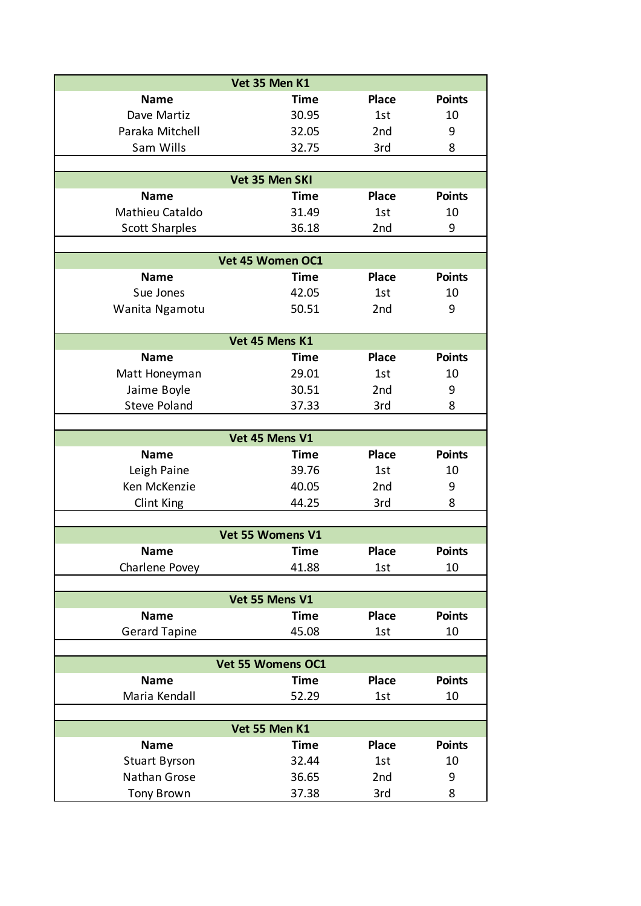|                       | Vet 35 Men K1     |              |               |
|-----------------------|-------------------|--------------|---------------|
| <b>Name</b>           | <b>Time</b>       | <b>Place</b> | <b>Points</b> |
| Dave Martiz           | 30.95             | 1st          | 10            |
| Paraka Mitchell       | 32.05             | 2nd          | 9             |
| Sam Wills             | 32.75             | 3rd          | 8             |
|                       |                   |              |               |
|                       | Vet 35 Men SKI    |              |               |
| <b>Name</b>           | <b>Time</b>       | <b>Place</b> | <b>Points</b> |
| Mathieu Cataldo       | 31.49             | 1st          | 10            |
| <b>Scott Sharples</b> | 36.18             | 2nd          | 9             |
|                       |                   |              |               |
|                       | Vet 45 Women OC1  |              |               |
| <b>Name</b>           | <b>Time</b>       | <b>Place</b> | <b>Points</b> |
| Sue Jones             | 42.05             | 1st          | 10            |
| Wanita Ngamotu        | 50.51             | 2nd          | 9             |
|                       |                   |              |               |
|                       | Vet 45 Mens K1    |              |               |
| <b>Name</b>           | <b>Time</b>       | <b>Place</b> | <b>Points</b> |
| Matt Honeyman         | 29.01             | 1st          | 10            |
| Jaime Boyle           | 30.51             | 2nd          | 9             |
| <b>Steve Poland</b>   | 37.33             | 3rd          | 8             |
|                       |                   |              |               |
|                       | Vet 45 Mens V1    |              |               |
| <b>Name</b>           | <b>Time</b>       | <b>Place</b> | <b>Points</b> |
| Leigh Paine           | 39.76             | 1st          | 10            |
| Ken McKenzie          | 40.05             | 2nd          | 9             |
| Clint King            | 44.25             | 3rd          | 8             |
|                       |                   |              |               |
|                       | Vet 55 Womens V1  |              |               |
| Name                  | <b>Time</b>       | <b>Place</b> | <b>Points</b> |
| Charlene Povey        | 41.88             | 1st          | 10            |
|                       |                   |              |               |
|                       | Vet 55 Mens V1    |              |               |
| <b>Name</b>           | <b>Time</b>       | <b>Place</b> | <b>Points</b> |
| <b>Gerard Tapine</b>  | 45.08             | 1st          | 10            |
|                       |                   |              |               |
|                       | Vet 55 Womens OC1 |              |               |
| <b>Name</b>           | <b>Time</b>       | <b>Place</b> | <b>Points</b> |
| Maria Kendall         | 52.29             | 1st          | 10            |
|                       |                   |              |               |
|                       | Vet 55 Men K1     |              |               |
| <b>Name</b>           | <b>Time</b>       | <b>Place</b> | <b>Points</b> |
| <b>Stuart Byrson</b>  | 32.44             | 1st          | 10            |
| Nathan Grose          | 36.65             | 2nd          | 9             |
| <b>Tony Brown</b>     | 37.38             | 3rd          | 8             |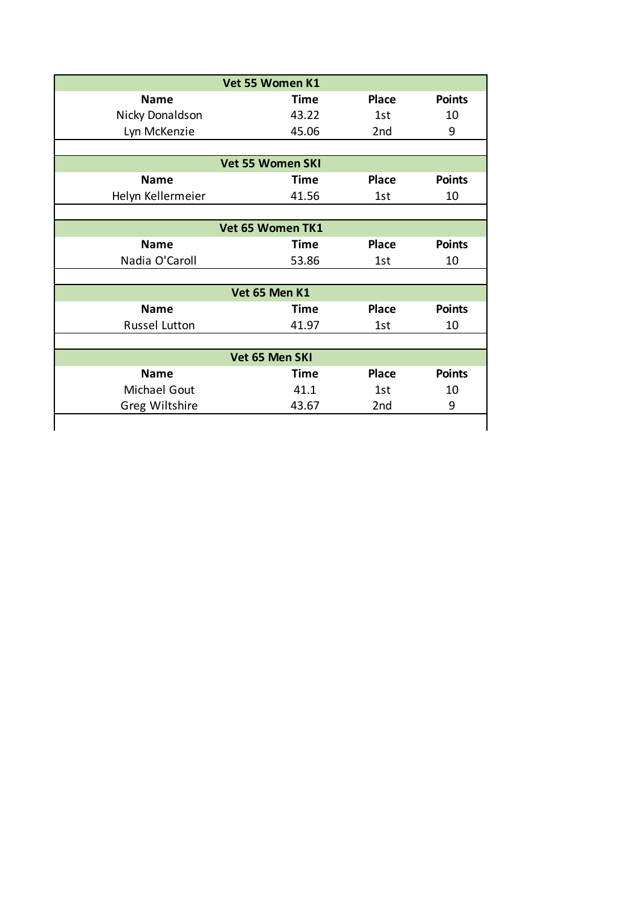|                   | Vet 55 Women K1         |              |               |
|-------------------|-------------------------|--------------|---------------|
| <b>Name</b>       | <b>Time</b>             | <b>Place</b> | <b>Points</b> |
| Nicky Donaldson   | 43.22                   | 1st          | 10            |
| Lyn McKenzie      | 45.06                   | 2nd          | 9             |
|                   |                         |              |               |
|                   | <b>Vet 55 Women SKI</b> |              |               |
| <b>Name</b>       | <b>Time</b>             | <b>Place</b> | <b>Points</b> |
| Helyn Kellermeier | 41.56                   | 1st          | 10            |
|                   |                         |              |               |
|                   | Vet 65 Women TK1        |              |               |
| <b>Name</b>       | <b>Time</b>             | <b>Place</b> | <b>Points</b> |
| Nadia O'Caroll    | 53.86                   | 1st          | 10            |
|                   |                         |              |               |
|                   | Vet 65 Men K1           |              |               |
| <b>Name</b>       | Time                    | <b>Place</b> | <b>Points</b> |
| Russel Lutton     | 41.97                   | 1st          | 10            |
|                   |                         |              |               |
|                   | Vet 65 Men SKI          |              |               |
| <b>Name</b>       | Time                    | <b>Place</b> | <b>Points</b> |
| Michael Gout      | 41.1                    | 1st          | 10            |
| Greg Wiltshire    | 43.67                   | 2nd          | 9             |